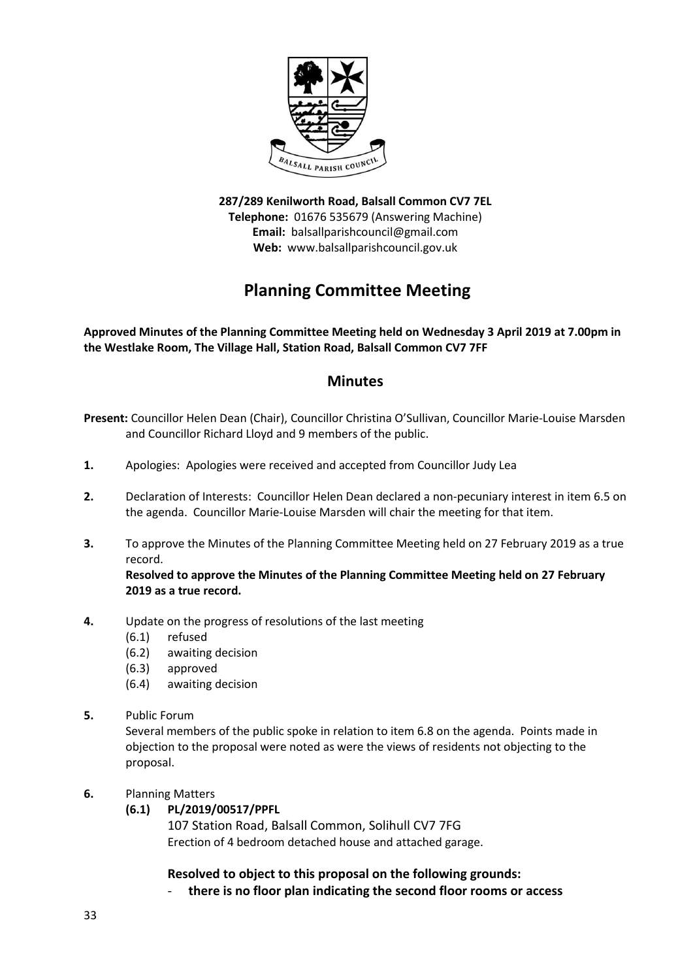

**287/289 Kenilworth Road, Balsall Common CV7 7EL Telephone:** 01676 535679 (Answering Machine) **Email:** balsallparishcouncil@gmail.com **Web:** www.balsallparishcouncil.gov.uk

# **Planning Committee Meeting**

**Approved Minutes of the Planning Committee Meeting held on Wednesday 3 April 2019 at 7.00pm in the Westlake Room, The Village Hall, Station Road, Balsall Common CV7 7FF**

## **Minutes**

- **Present:** Councillor Helen Dean (Chair), Councillor Christina O'Sullivan, Councillor Marie-Louise Marsden and Councillor Richard Lloyd and 9 members of the public.
- **1.** Apologies: Apologies were received and accepted from Councillor Judy Lea
- **2.** Declaration of Interests: Councillor Helen Dean declared a non-pecuniary interest in item 6.5 on the agenda. Councillor Marie-Louise Marsden will chair the meeting for that item.
- **3.** To approve the Minutes of the Planning Committee Meeting held on 27 February 2019 as a true record.

**Resolved to approve the Minutes of the Planning Committee Meeting held on 27 February 2019 as a true record.**

- **4.** Update on the progress of resolutions of the last meeting
	- (6.1) refused
	- (6.2) awaiting decision
	- (6.3) approved
	- (6.4) awaiting decision
- **5.** Public Forum

Several members of the public spoke in relation to item 6.8 on the agenda. Points made in objection to the proposal were noted as were the views of residents not objecting to the proposal.

- **6.** Planning Matters
	- **(6.1) PL/2019/00517/PPFL**

107 Station Road, Balsall Common, Solihull CV7 7FG [Erection of 4 bedroom detached house and attached garage.](https://publicaccess.solihull.gov.uk/online-applications/applicationDetails.do?keyVal=PNBIABOEFQA00&activeTab=summary)

## **Resolved to object to this proposal on the following grounds:**

- **there is no floor plan indicating the second floor rooms or access**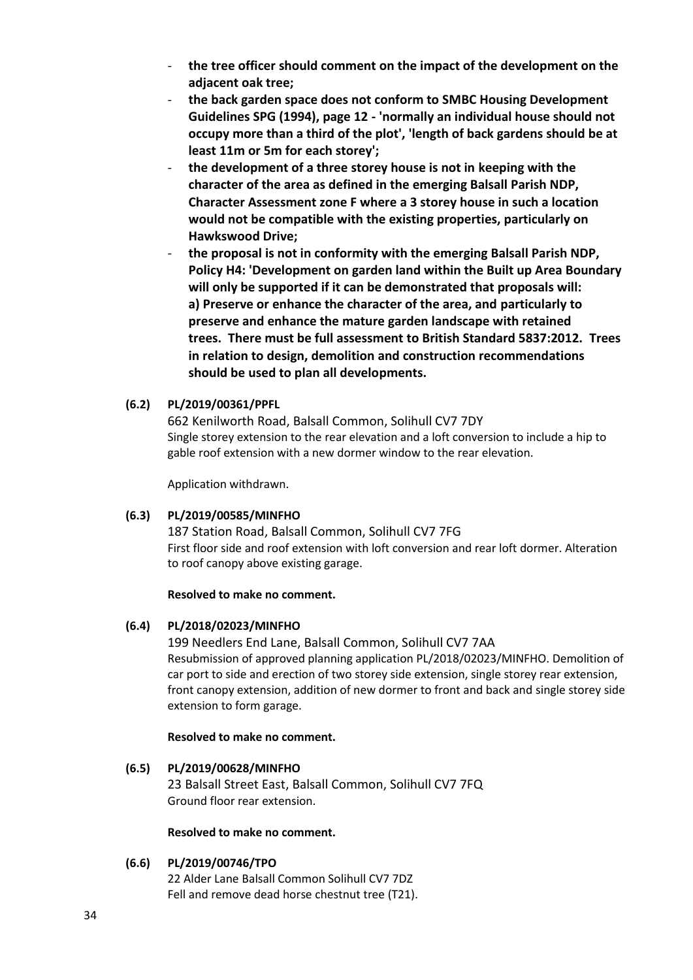- **the tree officer should comment on the impact of the development on the adjacent oak tree;**
- **the back garden space does not conform to SMBC Housing Development Guidelines SPG (1994), page 12 - 'normally an individual house should not occupy more than a third of the plot', 'length of back gardens should be at least 11m or 5m for each storey';**
- **the development of a three storey house is not in keeping with the character of the area as defined in the emerging Balsall Parish NDP, Character Assessment zone F where a 3 storey house in such a location would not be compatible with the existing properties, particularly on Hawkswood Drive;**
- **the proposal is not in conformity with the emerging Balsall Parish NDP, Policy H4: 'Development on garden land within the Built up Area Boundary will only be supported if it can be demonstrated that proposals will: a) Preserve or enhance the character of the area, and particularly to preserve and enhance the mature garden landscape with retained trees. There must be full assessment to British Standard 5837:2012. Trees in relation to design, demolition and construction recommendations should be used to plan all developments.**

## **(6.2) PL/2019/00361/PPFL**

662 Kenilworth Road, Balsall Common, Solihull CV7 7DY [Single storey extension to the rear elevation and a loft conversion to include a hip to](https://publicaccess.solihull.gov.uk/online-applications/applicationDetails.do?keyVal=PMPA8DOEFI300&activeTab=summary)  [gable roof extension with a new dormer window to the rear elevation.](https://publicaccess.solihull.gov.uk/online-applications/applicationDetails.do?keyVal=PMPA8DOEFI300&activeTab=summary)

Application withdrawn.

## **(6.3) PL/2019/00585/MINFHO**

187 Station Road, Balsall Common, Solihull CV7 7FG [First floor side and roof extension with loft conversion and rear loft dormer. Alteration](https://publicaccess.solihull.gov.uk/online-applications/applicationDetails.do?keyVal=PNMXFQOEFTX00&activeTab=summary)  [to roof canopy above existing garage.](https://publicaccess.solihull.gov.uk/online-applications/applicationDetails.do?keyVal=PNMXFQOEFTX00&activeTab=summary)

## **Resolved to make no comment.**

## **(6.4) PL/2018/02023/MINFHO**

199 Needlers End Lane, Balsall Common, Solihull CV7 7AA [Resubmission of approved planning application PL/2018/02023/MINFHO. Demolition of](https://publicaccess.solihull.gov.uk/online-applications/applicationDetails.do?activeTab=summary&keyVal=PNQBLLOEFV900&prevPage=inTray)  [car port to side and erection of two storey side extension, single storey rear extension,](https://publicaccess.solihull.gov.uk/online-applications/applicationDetails.do?activeTab=summary&keyVal=PNQBLLOEFV900&prevPage=inTray)  [front canopy extension, addition of new dormer to front and back and](https://publicaccess.solihull.gov.uk/online-applications/applicationDetails.do?activeTab=summary&keyVal=PNQBLLOEFV900&prevPage=inTray) single storey side [extension to form garage.](https://publicaccess.solihull.gov.uk/online-applications/applicationDetails.do?activeTab=summary&keyVal=PNQBLLOEFV900&prevPage=inTray)

## **Resolved to make no comment.**

**(6.5) PL/2019/00628/MINFHO** 23 Balsall Street East, Balsall Common, Solihull CV7 7FQ [Ground floor rear extension.](https://publicaccess.solihull.gov.uk/online-applications/applicationDetails.do?activeTab=summary&keyVal=PNW4SFOE01100&prevPage=inTray)

## **Resolved to make no comment.**

## **(6.6) PL/2019/00746/TPO**

22 Alder Lane Balsall Common Solihull CV7 7DZ [Fell and remove dead horse chestnut tree \(T21\).](https://publicaccess.solihull.gov.uk/online-applications/applicationDetails.do?activeTab=summary&keyVal=POIN22OEG4D00&prevPage=inTray)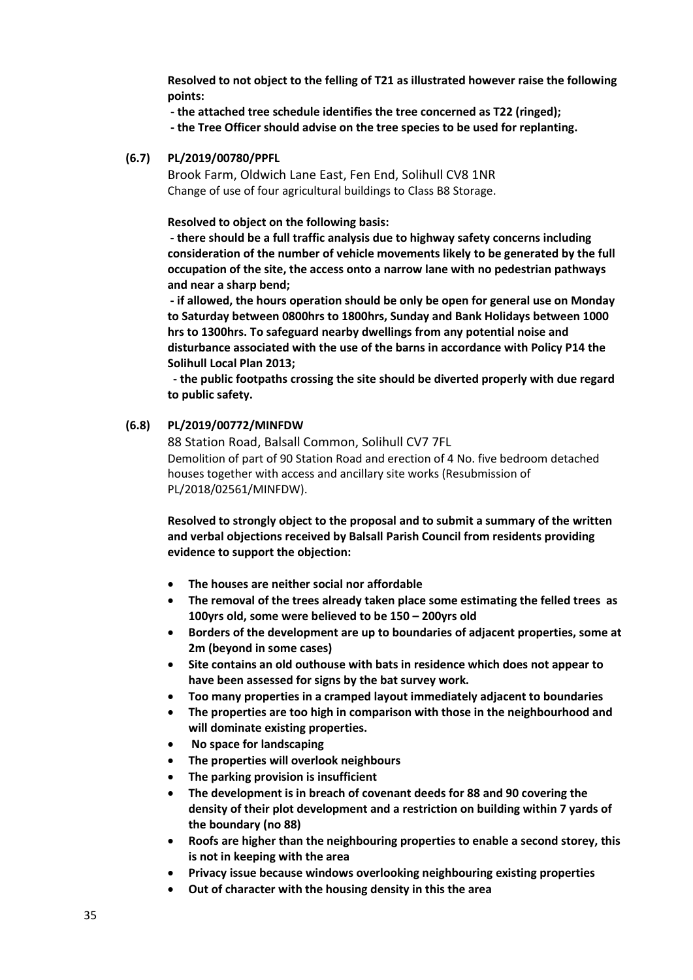**Resolved to not object to the felling of T21 as illustrated however raise the following points:**

**- the attached tree schedule identifies the tree concerned as T22 (ringed);**

**- the Tree Officer should advise on the tree species to be used for replanting.**

#### **(6.7) PL/2019/00780/PPFL**

Brook Farm, Oldwich Lane East, Fen End, Solihull CV8 1NR [Change of use of four agricultural buildings to](https://publicaccess.solihull.gov.uk/online-applications/applicationDetails.do?activeTab=summary&keyVal=POMF9DOEG6900&prevPage=inTray) Class B8 Storage.

**Resolved to object on the following basis:**

**- there should be a full traffic analysis due to highway safety concerns including consideration of the number of vehicle movements likely to be generated by the full occupation of the site, the access onto a narrow lane with no pedestrian pathways and near a sharp bend;** 

**- if allowed, the hours operation should be only be open for general use on Monday to Saturday between 0800hrs to 1800hrs, Sunday and Bank Holidays between 1000 hrs to 1300hrs. To safeguard nearby dwellings from any potential noise and disturbance associated with the use of the barns in accordance with Policy P14 the Solihull Local Plan 2013;**

**- the public footpaths crossing the site should be diverted properly with due regard to public safety.**

#### **(6.8) PL/2019/00772/MINFDW**

88 Station Road, Balsall Common, Solihull CV7 7FL [Demolition of part of 90 Station Road and erection of 4 No. five bedroom detached](https://publicaccess.solihull.gov.uk/online-applications/applicationDetails.do?activeTab=summary&keyVal=POM34WOE01100&prevPage=inTray)  [houses together with access and ancillary site works \(Resubmission of](https://publicaccess.solihull.gov.uk/online-applications/applicationDetails.do?activeTab=summary&keyVal=POM34WOE01100&prevPage=inTray)  [PL/2018/02561/MINFDW\).](https://publicaccess.solihull.gov.uk/online-applications/applicationDetails.do?activeTab=summary&keyVal=POM34WOE01100&prevPage=inTray)

**Resolved to strongly object to the proposal and to submit a summary of the written and verbal objections received by Balsall Parish Council from residents providing evidence to support the objection:**

- **The houses are neither social nor affordable**
- **The removal of the trees already taken place some estimating the felled trees as 100yrs old, some were believed to be 150 – 200yrs old**
- **Borders of the development are up to boundaries of adjacent properties, some at 2m (beyond in some cases)**
- **Site contains an old outhouse with bats in residence which does not appear to have been assessed for signs by the bat survey work.**
- **Too many properties in a cramped layout immediately adjacent to boundaries**
- **The properties are too high in comparison with those in the neighbourhood and will dominate existing properties.**
- **No space for landscaping**
- **The properties will overlook neighbours**
- **The parking provision is insufficient**
- **The development is in breach of covenant deeds for 88 and 90 covering the density of their plot development and a restriction on building within 7 yards of the boundary (no 88)**
- **Roofs are higher than the neighbouring properties to enable a second storey, this is not in keeping with the area**
- **Privacy issue because windows overlooking neighbouring existing properties**
- **Out of character with the housing density in this the area**